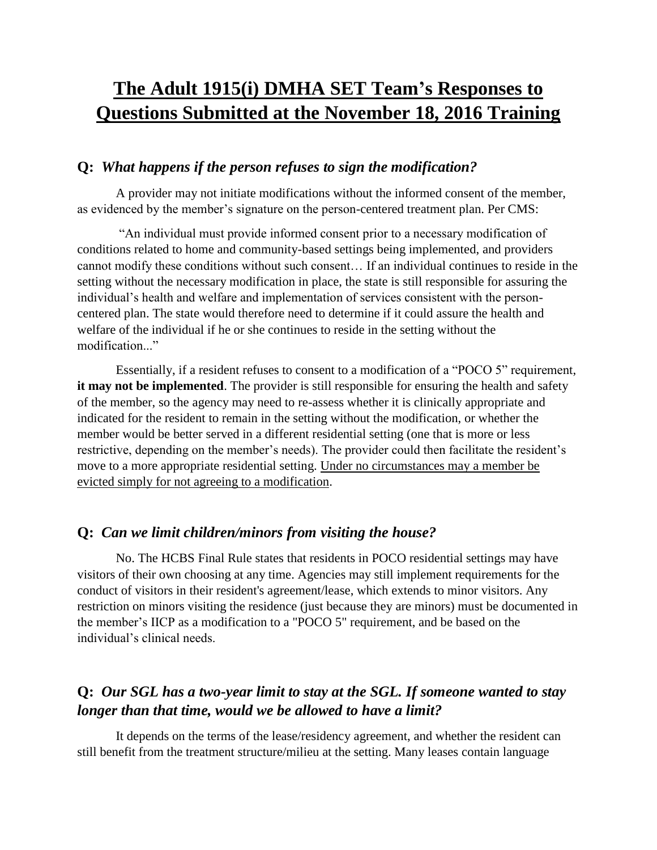# **The Adult 1915(i) DMHA SET Team's Responses to Questions Submitted at the November 18, 2016 Training**

#### **Q:** *What happens if the person refuses to sign the modification?*

A provider may not initiate modifications without the informed consent of the member, as evidenced by the member's signature on the person-centered treatment plan. Per CMS:

"An individual must provide informed consent prior to a necessary modification of conditions related to home and community-based settings being implemented, and providers cannot modify these conditions without such consent… If an individual continues to reside in the setting without the necessary modification in place, the state is still responsible for assuring the individual's health and welfare and implementation of services consistent with the personcentered plan. The state would therefore need to determine if it could assure the health and welfare of the individual if he or she continues to reside in the setting without the modification."

Essentially, if a resident refuses to consent to a modification of a "POCO 5" requirement, **it may not be implemented**. The provider is still responsible for ensuring the health and safety of the member, so the agency may need to re-assess whether it is clinically appropriate and indicated for the resident to remain in the setting without the modification, or whether the member would be better served in a different residential setting (one that is more or less restrictive, depending on the member's needs). The provider could then facilitate the resident's move to a more appropriate residential setting. Under no circumstances may a member be evicted simply for not agreeing to a modification.

#### **Q:** *Can we limit children/minors from visiting the house?*

No. The HCBS Final Rule states that residents in POCO residential settings may have visitors of their own choosing at any time. Agencies may still implement requirements for the conduct of visitors in their resident's agreement/lease, which extends to minor visitors. Any restriction on minors visiting the residence (just because they are minors) must be documented in the member's IICP as a modification to a "POCO 5" requirement, and be based on the individual's clinical needs.

# **Q:** *Our SGL has a two-year limit to stay at the SGL. If someone wanted to stay longer than that time, would we be allowed to have a limit?*

It depends on the terms of the lease/residency agreement, and whether the resident can still benefit from the treatment structure/milieu at the setting. Many leases contain language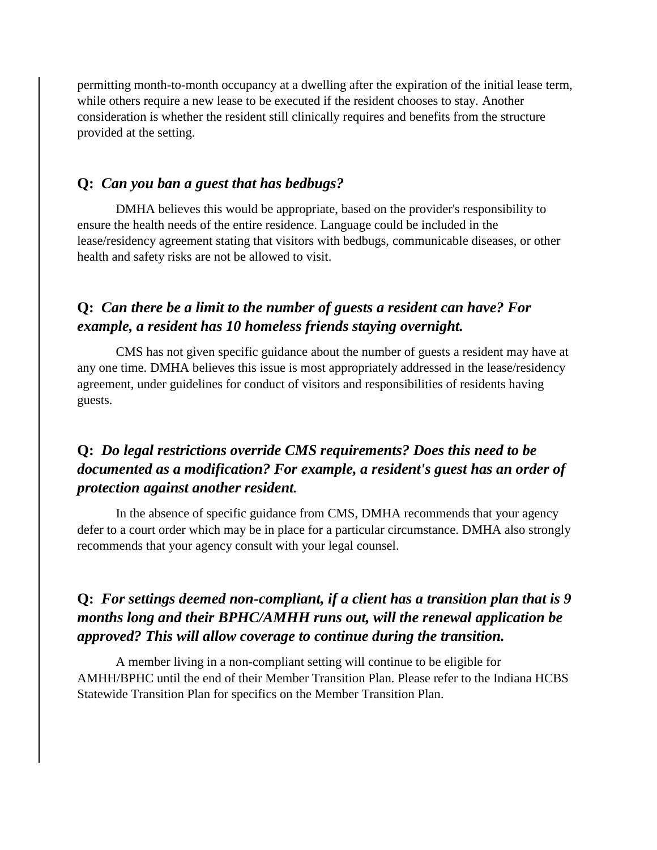permitting month-to-month occupancy at a dwelling after the expiration of the initial lease term, while others require a new lease to be executed if the resident chooses to stay. Another consideration is whether the resident still clinically requires and benefits from the structure provided at the setting.

#### **Q:** *Can you ban a guest that has bedbugs?*

DMHA believes this would be appropriate, based on the provider's responsibility to ensure the health needs of the entire residence. Language could be included in the lease/residency agreement stating that visitors with bedbugs, communicable diseases, or other health and safety risks are not be allowed to visit.

## **Q:** *Can there be a limit to the number of guests a resident can have? For example, a resident has 10 homeless friends staying overnight.*

CMS has not given specific guidance about the number of guests a resident may have at any one time. DMHA believes this issue is most appropriately addressed in the lease/residency agreement, under guidelines for conduct of visitors and responsibilities of residents having guests.

## **Q:** *Do legal restrictions override CMS requirements? Does this need to be documented as a modification? For example, a resident's guest has an order of protection against another resident.*

In the absence of specific guidance from CMS, DMHA recommends that your agency defer to a court order which may be in place for a particular circumstance. DMHA also strongly recommends that your agency consult with your legal counsel.

## **Q:** *For settings deemed non-compliant, if a client has a transition plan that is 9 months long and their BPHC/AMHH runs out, will the renewal application be approved? This will allow coverage to continue during the transition.*

A member living in a non-compliant setting will continue to be eligible for AMHH/BPHC until the end of their Member Transition Plan. Please refer to the Indiana HCBS Statewide Transition Plan for specifics on the Member Transition Plan.